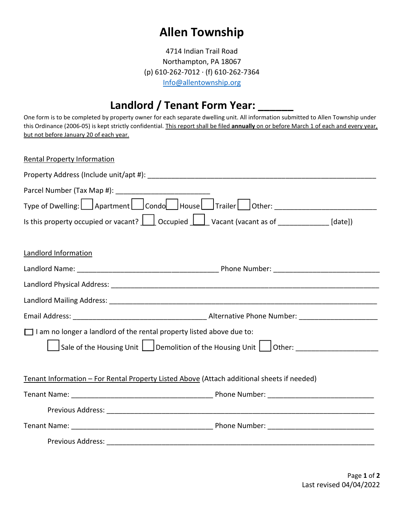## **Allen Township**

4714 Indian Trail Road Northampton, PA 18067 (p) 610-262-7012 · (f) 610-262-7364 [Info@allentownship.org](mailto:Info@allentownship.org)

## Landlord / Tenant Form Year: \_

One form is to be completed by property owner for each separate dwelling unit. All information submitted to Allen Township under this Ordinance (2006-05) is kept strictly confidential. This report shall be filed **annually** on or before March 1 of each and every year, but not before January 20 of each year.

| <b>Rental Property Information</b>                                                                                                                |                                                                                  |
|---------------------------------------------------------------------------------------------------------------------------------------------------|----------------------------------------------------------------------------------|
|                                                                                                                                                   |                                                                                  |
|                                                                                                                                                   |                                                                                  |
|                                                                                                                                                   | Type of Dwelling: Apartment Condo House Trailer Other: _________________________ |
| Is this property occupied or vacant? $\boxed{\underline{\qquad}}$ Occupied $\boxed{\underline{\qquad}}$ Vacant (vacant as of ____________ [date]) |                                                                                  |
| <b>Landlord Information</b>                                                                                                                       |                                                                                  |
|                                                                                                                                                   |                                                                                  |
|                                                                                                                                                   |                                                                                  |
|                                                                                                                                                   |                                                                                  |
|                                                                                                                                                   |                                                                                  |
| $\Box$ I am no longer a landlord of the rental property listed above due to:                                                                      |                                                                                  |
|                                                                                                                                                   | Sale of the Housing Unit Demolition of the Housing Unit Other: _________________ |
| Tenant Information - For Rental Property Listed Above (Attach additional sheets if needed)                                                        |                                                                                  |
|                                                                                                                                                   |                                                                                  |
|                                                                                                                                                   |                                                                                  |
|                                                                                                                                                   |                                                                                  |
|                                                                                                                                                   |                                                                                  |